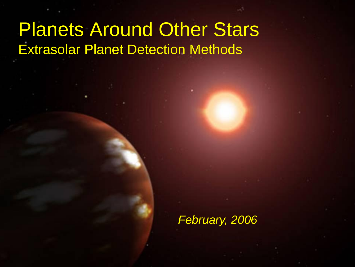## Planets Around Other Stars Extrasolar Planet Detection Methods

*February, 2006*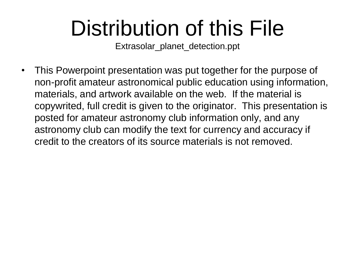# Distribution of this File

Extrasolar\_planet\_detection.ppt

• This Powerpoint presentation was put together for the purpose of non-profit amateur astronomical public education using information, materials, and artwork available on the web. If the material is copywrited, full credit is given to the originator. This presentation is posted for amateur astronomy club information only, and any astronomy club can modify the text for currency and accuracy if credit to the creators of its source materials is not removed.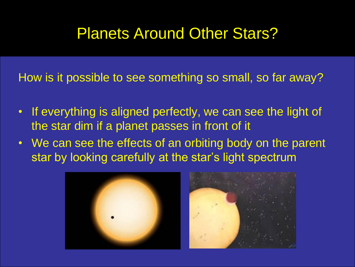#### Planets Around Other Stars?

How is it possible to see something so small, so far away?

- If everything is aligned perfectly, we can see the light of the star dim if a planet passes in front of it
- We can see the effects of an orbiting body on the parent star by looking carefully at the star's light spectrum

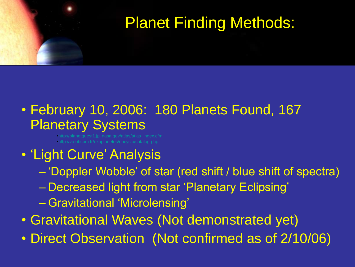## Planet Finding Methods:

#### • February 10, 2006: 180 Planets Found, 167 Planetary Systems

[•http://planetquest1.jpl.nasa.gov/atlas/atlas\\_index.cfm](http://planetquest1.jpl.nasa.gov/atlas/atlas_index.cfm)

#### • 'Light Curve' Analysis

- "Doppler Wobble" of star (red shift / blue shift of spectra)
- Decreased light from star "Planetary Eclipsing"
- Gravitational "Microlensing"
- Gravitational Waves (Not demonstrated yet)
- Direct Observation (Not confirmed as of 2/10/06)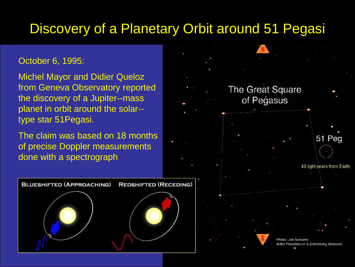#### Discovery of a Planetary Orbit around 51 Pegasi

#### October 6, 1995:

Michel Mayor and Didier Queloz from Geneva Observatory reported the discovery of a Jupiter--mass planet in orbit around the solar- type star 51Pegasi.

The claim was based on 18 months of precise Doppler measurements done with a spectrograph



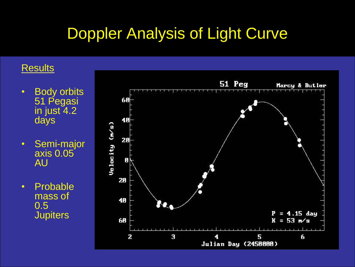### Doppler Analysis of Light Curve

#### **Results**

- Body orbits 51 Pegasi in just 4.2 days
- Semi-major axis 0.05 AU
- Probable mass of 0.5 **Jupiters**

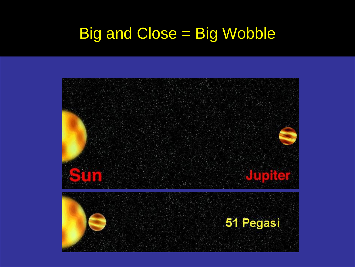## Big and Close = Big Wobble

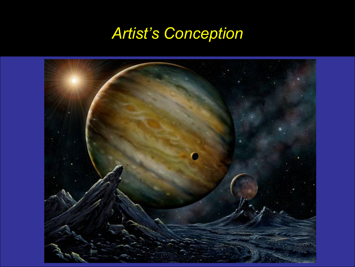## *Artist's Conception*

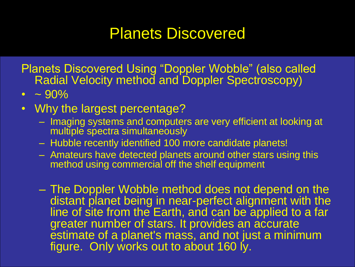#### Planets Discovered

Planets Discovered Using "Doppler Wobble" (also called Radial Velocity method and Doppler Spectroscopy)

- $\cdot$  ~ 90%
- Why the largest percentage?
	- Imaging systems and computers are very efficient at looking at multiple spectra simultaneously
	- Hubble recently identified 100 more candidate planets!
	- Amateurs have detected planets around other stars using this method using commercial off the shelf equipment
	- The Doppler Wobble method does not depend on the distant planet being in near-perfect alignment with the line of site from the Earth, and can be applied to a far greater number of stars. It provides an accurate estimate of a planet's mass, and not just a minimum figure. Only works out to about 160 ly.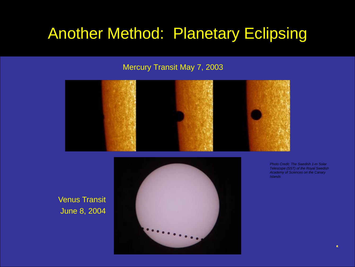#### Another Method: Planetary Eclipsing

#### Mercury Transit May 7, 2003



Venus Transit June 8, 2004



*Photo Credit: The Swedish 1-m Solar Telescope (SST) of the Royal Swedish Academy of Sciences on the Canary Islands*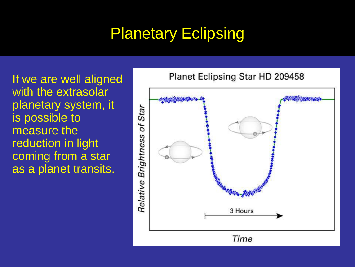## Planetary Eclipsing

If we are well aligned with the extrasolar planetary system, it is possible to measure the reduction in light coming from a star as a planet transits.

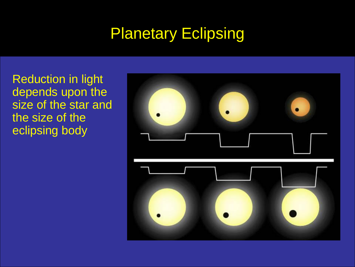## Planetary Eclipsing

Reduction in light depends upon the size of the star and the size of the eclipsing body

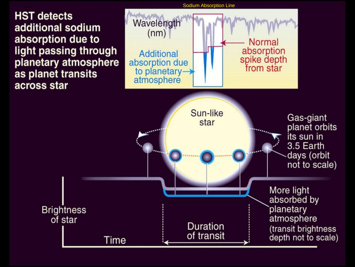**HST detects** additional sodium absorption due to light passing through planetary atmosphere as planet transits across star

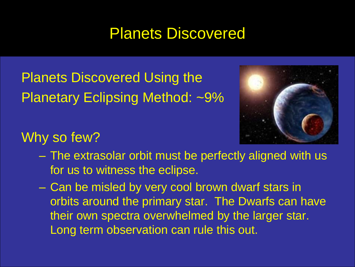#### Planets Discovered

Planets Discovered Using the Planetary Eclipsing Method: ~9%



#### Why so few?

- The extrasolar orbit must be perfectly aligned with us for us to witness the eclipse.
- Can be misled by very cool brown dwarf stars in orbits around the primary star. The Dwarfs can have their own spectra overwhelmed by the larger star. Long term observation can rule this out.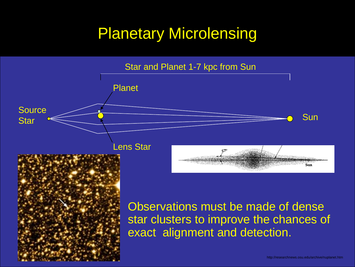#### Planetary Microlensing



Observations must be made of dense star clusters to improve the chances of exact alignment and detection.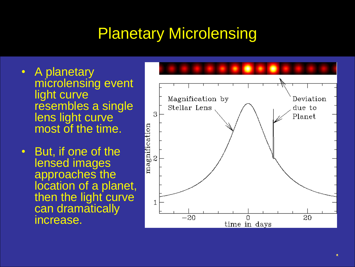### Planetary Microlensing

- A planetary microlensing event light curve resembles a single lens light curve most of the time.
- But, if one of the lensed images approaches the location of a planet, then the light curve can dramatically increase.

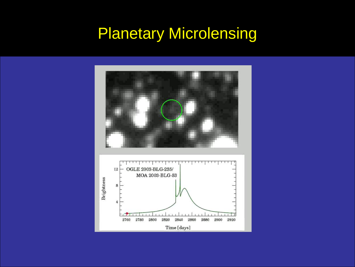### Planetary Microlensing

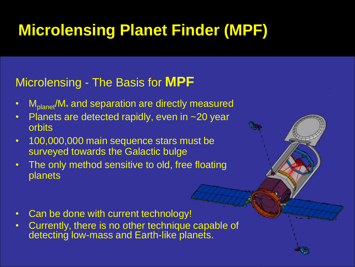## **Microlensing Planet Finder (MPF)**

#### Microlensing - The Basis for **MPF**

- $M_{\text{planet}}/M_{\ast}$  and separation are directly measured
- Planets are detected rapidly, even in ~20 year orbits
- 100,000,000 main sequence stars must be surveyed towards the Galactic bulge
- The only method sensitive to old, free floating planets
- 
- Can be done with current technology!
- Currently, there is no other technique capable of detecting low-mass and Earth-like planets.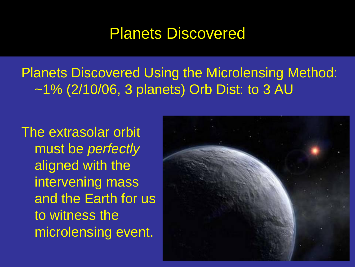#### Planets Discovered

Planets Discovered Using the Microlensing Method: ~1% (2/10/06, 3 planets) Orb Dist: to 3 AU

The extrasolar orbit must be *perfectly* aligned with the intervening mass and the Earth for us to witness the microlensing event.

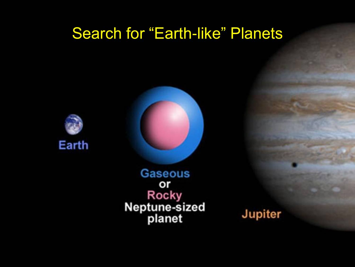#### Search for "Earth-like" Planets





**Gaseous** or **Rocky** Neptune-sized<br>planet

Jupiter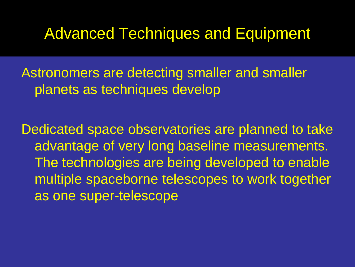#### Advanced Techniques and Equipment

Astronomers are detecting smaller and smaller planets as techniques develop

Dedicated space observatories are planned to take advantage of very long baseline measurements. The technologies are being developed to enable multiple spaceborne telescopes to work together as one super-telescope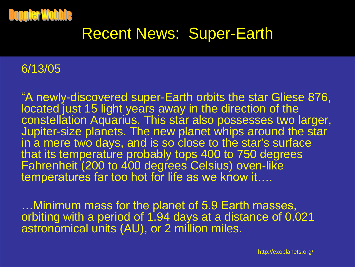

#### Recent News: Super-Earth

#### 6/13/05

"A newly-discovered super-Earth orbits the star Gliese 876, located just 15 light years away in the direction of the constellation Aquarius. This star also possesses two larger, Jupiter-size planets. The new planet whips around the star in a mere two days, and is so close to the star's surface that its temperature probably tops 400 to 750 degrees Fahrenheit (200 to 400 degrees Celsius) oven-like temperatures far too hot for life as we know it....

…Minimum mass for the planet of 5.9 Earth masses, orbiting with a period of 1.94 days at a distance of 0.021 astronomical units (AU), or 2 million miles.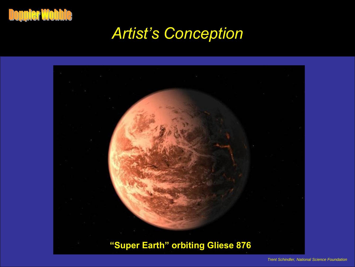

#### *Artist's Conception*

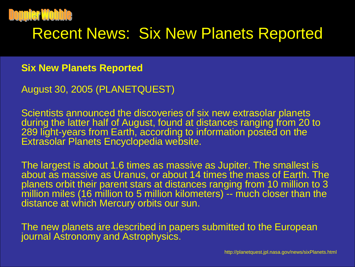

#### Recent News: Six New Planets Reported

#### **Six New Planets Reported**

August 30, 2005 (PLANETQUEST)

Scientists announced the discoveries of six new extrasolar planets during the latter half of August, found at distances ranging from 20 to 289 light-years from Earth, according to information posted on the Extrasolar Planets Encyclopedia website.

The largest is about 1.6 times as massive as Jupiter. The smallest is about as massive as Uranus, or about 14 times the mass of Earth. The planets orbit their parent stars at distances ranging from 10 million to 3 million miles (16 million to 5 million kilometers) -- much closer than the distance at which Mercury orbits our sun.

The new planets are described in papers submitted to the European journal Astronomy and Astrophysics.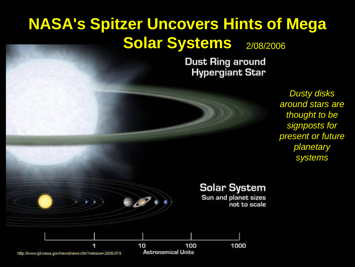### **NASA's Spitzer Uncovers Hints of Mega Solar Systems** 2/08/2006

**Dust Ring around Hypergiant Star** 



*Dusty disks around stars are thought to be signposts for present or future planetary systems* 

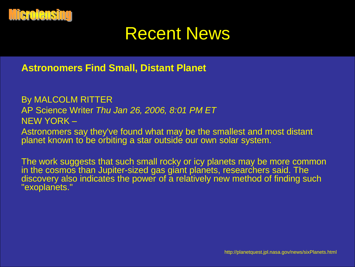

### Recent News

**Astronomers Find Small, Distant Planet**

By MALCOLM RITTER AP Science Writer *Thu Jan 26, 2006, 8:01 PM ET* NEW YORK –

Astronomers say they've found what may be the smallest and most distant planet known to be orbiting a star outside our own solar system.

The work suggests that such small rocky or icy planets may be more common in the cosmos than Jupiter-sized gas giant planets, researchers said. The discovery also indicates the power of a relatively new method of finding such "exoplanets."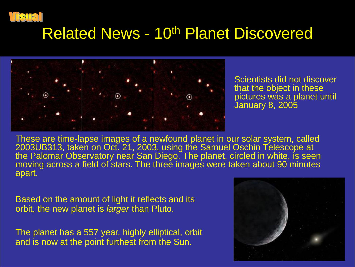

#### Related News - 10th Planet Discovered



Scientists did not discover that the object in these pictures was a planet until January 8, 2005

These are time-lapse images of a newfound planet in our solar system, called 2003UB313, taken on Oct. 21, 2003, using the Samuel Oschin Telescope at the Palomar Observatory near San Diego. The planet, circled in white, is seen moving across a field of stars. The three images were taken about 90 minutes apart.

Based on the amount of light it reflects and its orbit, the new planet is *larger* than Pluto.

The planet has a 557 year, highly elliptical, orbit and is now at the point furthest from the Sun.

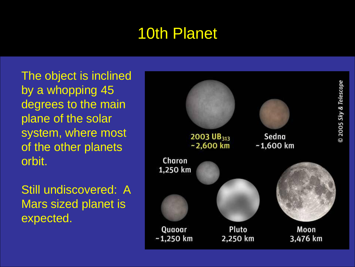### 10th Planet

The object is inclined by a whopping 45 degrees to the main plane of the solar system, where most of the other planets orbit.

Still undiscovered: A Mars sized planet is expected.

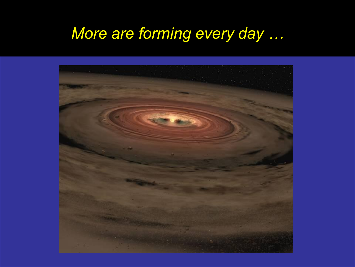## *More are forming every day …*